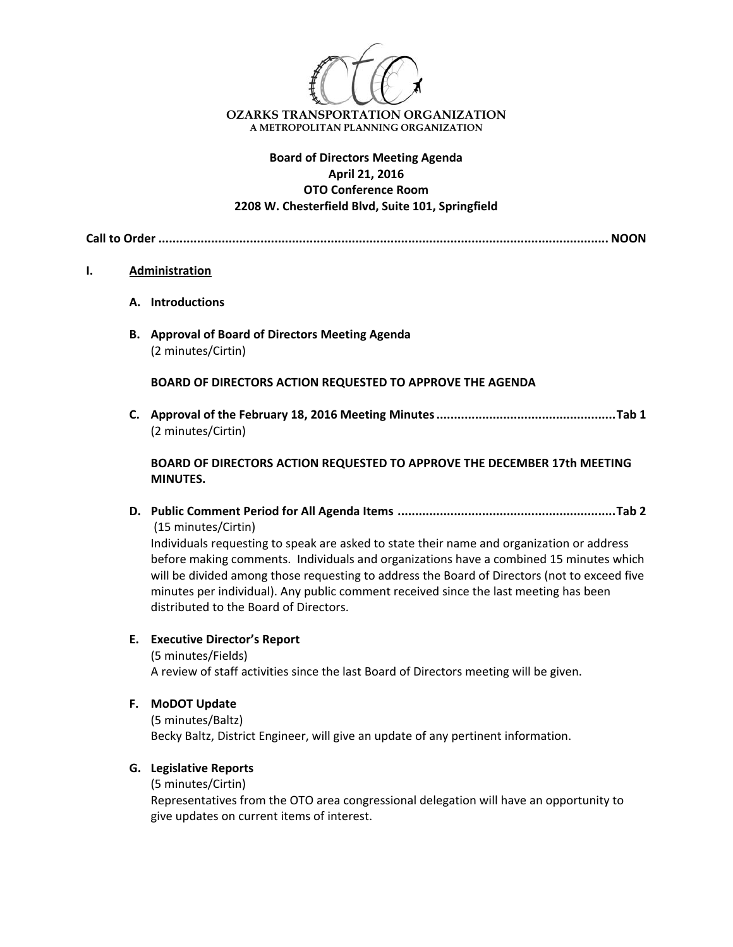

## **Board of Directors Meeting Agenda April 21, 2016 OTO Conference Room 2208 W. Chesterfield Blvd, Suite 101, Springfield**

**Call to Order ................................................................................................................................ NOON**

#### **I. Administration**

- **A. Introductions**
- **B. Approval of Board of Directors Meeting Agenda** (2 minutes/Cirtin)

**BOARD OF DIRECTORS ACTION REQUESTED TO APPROVE THE AGENDA**

**C. Approval of the February 18, 2016 Meeting Minutes...................................................Tab 1** (2 minutes/Cirtin)

**BOARD OF DIRECTORS ACTION REQUESTED TO APPROVE THE DECEMBER 17th MEETING MINUTES.**

**D. Public Comment Period for All Agenda Items ..............................................................Tab 2** (15 minutes/Cirtin)

Individuals requesting to speak are asked to state their name and organization or address before making comments. Individuals and organizations have a combined 15 minutes which will be divided among those requesting to address the Board of Directors (not to exceed five minutes per individual). Any public comment received since the last meeting has been distributed to the Board of Directors.

### **E. Executive Director's Report**

(5 minutes/Fields) A review of staff activities since the last Board of Directors meeting will be given.

**F. MoDOT Update**

(5 minutes/Baltz) Becky Baltz, District Engineer, will give an update of any pertinent information.

### **G. Legislative Reports**

(5 minutes/Cirtin)

Representatives from the OTO area congressional delegation will have an opportunity to give updates on current items of interest.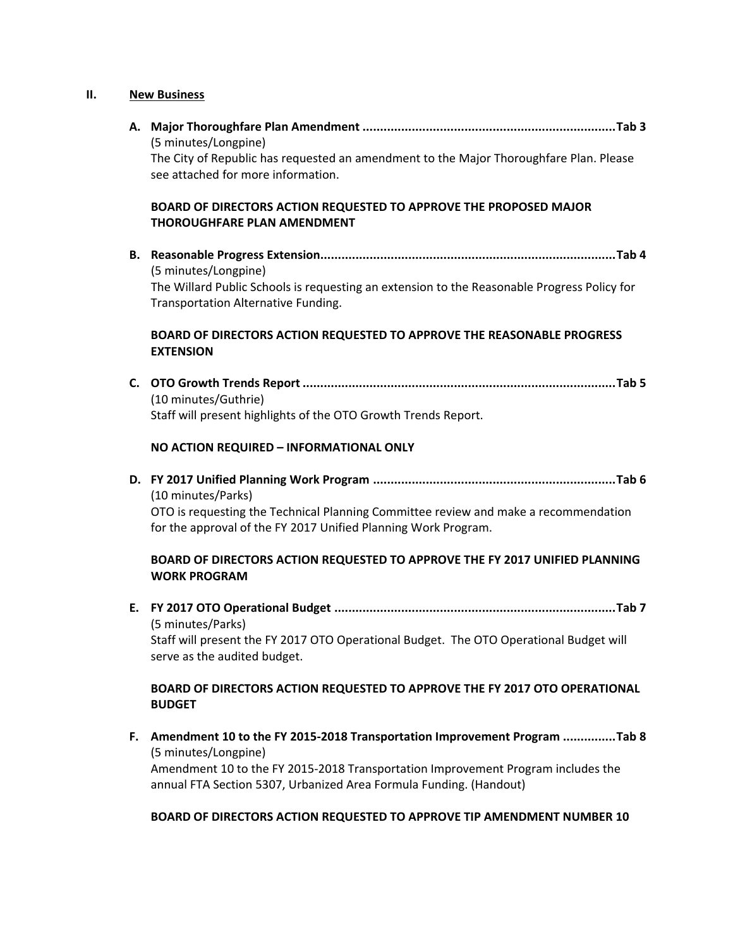# **II. New Business**

| (5 minutes/Longpine)<br>The City of Republic has requested an amendment to the Major Thoroughfare Plan. Please<br>see attached for more information.                                     |
|------------------------------------------------------------------------------------------------------------------------------------------------------------------------------------------|
| BOARD OF DIRECTORS ACTION REQUESTED TO APPROVE THE PROPOSED MAJOR<br><b>THOROUGHFARE PLAN AMENDMENT</b>                                                                                  |
| (5 minutes/Longpine)<br>The Willard Public Schools is requesting an extension to the Reasonable Progress Policy for<br>Transportation Alternative Funding.                               |
| BOARD OF DIRECTORS ACTION REQUESTED TO APPROVE THE REASONABLE PROGRESS<br><b>EXTENSION</b>                                                                                               |
| (10 minutes/Guthrie)<br>Staff will present highlights of the OTO Growth Trends Report.                                                                                                   |
| NO ACTION REQUIRED - INFORMATIONAL ONLY                                                                                                                                                  |
| (10 minutes/Parks)<br>OTO is requesting the Technical Planning Committee review and make a recommendation                                                                                |
| for the approval of the FY 2017 Unified Planning Work Program.                                                                                                                           |
| BOARD OF DIRECTORS ACTION REQUESTED TO APPROVE THE FY 2017 UNIFIED PLANNING<br><b>WORK PROGRAM</b>                                                                                       |
| (5 minutes/Parks)<br>Staff will present the FY 2017 OTO Operational Budget. The OTO Operational Budget will<br>serve as the audited budget.                                              |
| BOARD OF DIRECTORS ACTION REQUESTED TO APPROVE THE FY 2017 OTO OPERATIONAL<br><b>BUDGET</b>                                                                                              |
| F. Amendment 10 to the FY 2015-2018 Transportation Improvement Program Tab 8<br>(5 minutes/Longpine)<br>Amendment 10 to the FY 2015-2018 Transportation Improvement Program includes the |

**BOARD OF DIRECTORS ACTION REQUESTED TO APPROVE TIP AMENDMENT NUMBER 10** 

annual FTA Section 5307, Urbanized Area Formula Funding. (Handout)